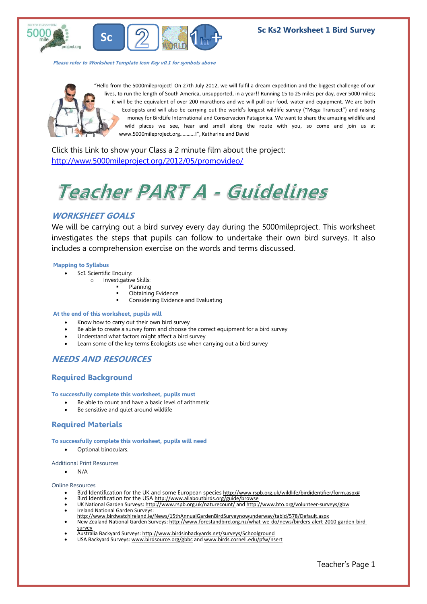

#### **Sc Ks2 Worksheet 1 Bird Survey**

**Please refer to Worksheet Template Icon Key v0.1 for symbols above**



"Hello from the 5000mileproject! On 27th July 2012, we will fulfil a dream expedition and the biggest challenge of our lives, to run the length of South America, unsupported, in a year!! Running 15 to 25 miles per day, over 5000 miles; it will be the equivalent of over 200 marathons and we will pull our food, water and equipment. We are both Ecologists and will also be carrying out the world's longest wildlife survey ("Mega Transect") and raising money for BirdLife International and Conservacion Patagonica. We want to share the amazing wildlife and wild places we see, hear and smell along the route with you, so come and join us at www.5000mileproject.org………..!", Katharine and David

Click this Link to show your Class a 2 minute film about the project: http://www.5000mileproject.org/2012/05/promovideo/

## Teacher PART A - Guidelines

#### **WORKSHEET GOALS**

We will be carrying out a bird survey every day during the 5000mileproject. This worksheet investigates the steps that pupils can follow to undertake their own bird surveys. It also includes a comprehension exercise on the words and terms discussed.

#### **Mapping to Syllabus**

- Sc1 Scientific Enquiry:
	- o Investigative Skills:
		- Planning
			- Obtaining Evidence
			- Considering Evidence and Evaluating

#### **At the end of this worksheet, pupils will**

- Know how to carry out their own bird survey
- Be able to create a survey form and choose the correct equipment for a bird survey
- Understand what factors might affect a bird survey
- Learn some of the key terms Ecologists use when carrying out a bird survey

#### **NEEDS AND RESOURCES**

#### **Required Background**

#### **To successfully complete this worksheet, pupils must**

- Be able to count and have a basic level of arithmetic
- Be sensitive and quiet around wildlife

#### **Required Materials**

- **To successfully complete this worksheet, pupils will need** 
	- Optional binoculars.

#### Additional Print Resources

N/A

Online Resources

- Bird Identification for the UK and some European species http://www.rspb.org.uk/wildlife/birdidentifier/form.aspx#
- Bird Identification for the USA http://www.allaboutbirds.org/guide/browse
- UK National Garden Surveys: http://www.rspb.org.uk/naturecount/ and http://www.bto.org/volunteer-surveys/gbw
- Ireland National Garden Surveys
- http://www.birdwatchireland.ie/News/15thAnnualGardenBirdSurveynowunderway/tabid/578/Default.aspx New Zealand National Garden Surveys: http://www.forestandbird.org.nz/what-we-do/news/birders-alert-2010-garden-bird-
- survey Australia Backyard Surveys: http://www.birdsinbackyards.net/surveys/Schoolground
- USA Backyard Surveys: www.birdsource.org/gbbc and www.birds.cornell.edu/pfw/nsert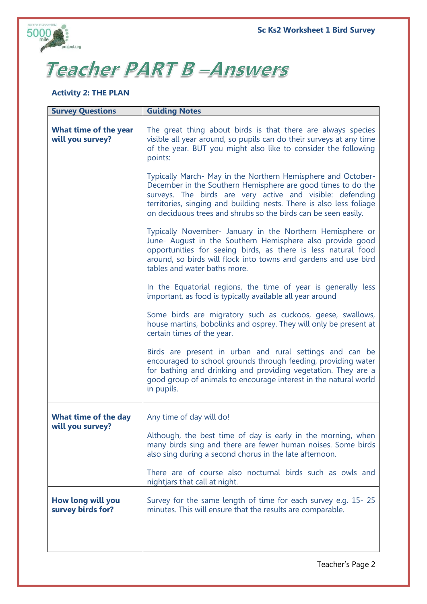

## **Teacher PART B-Answers**

### **Activity 2: THE PLAN**

| <b>Survey Questions</b>                   | <b>Guiding Notes</b>                                                                                                                                                                                                                                                                                                               |
|-------------------------------------------|------------------------------------------------------------------------------------------------------------------------------------------------------------------------------------------------------------------------------------------------------------------------------------------------------------------------------------|
| What time of the year<br>will you survey? | The great thing about birds is that there are always species<br>visible all year around, so pupils can do their surveys at any time<br>of the year. BUT you might also like to consider the following<br>points:                                                                                                                   |
|                                           | Typically March- May in the Northern Hemisphere and October-<br>December in the Southern Hemisphere are good times to do the<br>surveys. The birds are very active and visible: defending<br>territories, singing and building nests. There is also less foliage<br>on deciduous trees and shrubs so the birds can be seen easily. |
|                                           | Typically November- January in the Northern Hemisphere or<br>June- August in the Southern Hemisphere also provide good<br>opportunities for seeing birds, as there is less natural food<br>around, so birds will flock into towns and gardens and use bird<br>tables and water baths more.                                         |
|                                           | In the Equatorial regions, the time of year is generally less<br>important, as food is typically available all year around                                                                                                                                                                                                         |
|                                           | Some birds are migratory such as cuckoos, geese, swallows,<br>house martins, bobolinks and osprey. They will only be present at<br>certain times of the year.                                                                                                                                                                      |
|                                           | Birds are present in urban and rural settings and can be<br>encouraged to school grounds through feeding, providing water<br>for bathing and drinking and providing vegetation. They are a<br>good group of animals to encourage interest in the natural world<br>in pupils.                                                       |
| What time of the day<br>will you survey?  | Any time of day will do!                                                                                                                                                                                                                                                                                                           |
|                                           | Although, the best time of day is early in the morning, when<br>many birds sing and there are fewer human noises. Some birds<br>also sing during a second chorus in the late afternoon.                                                                                                                                            |
|                                           | There are of course also nocturnal birds such as owls and<br>nightjars that call at night.                                                                                                                                                                                                                                         |
| How long will you<br>survey birds for?    | Survey for the same length of time for each survey e.g. 15-25<br>minutes. This will ensure that the results are comparable.                                                                                                                                                                                                        |
|                                           |                                                                                                                                                                                                                                                                                                                                    |

Teacher's Page 2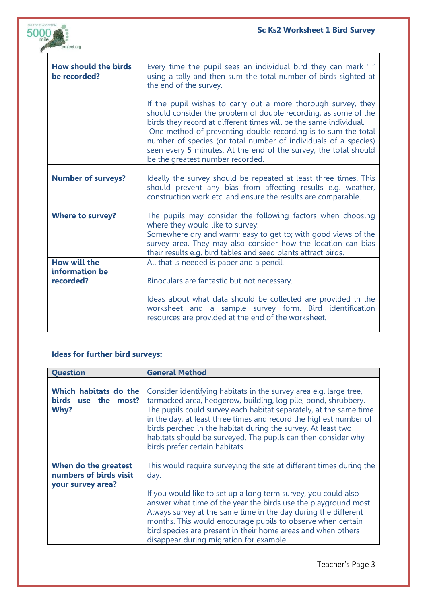

| <b>How should the birds</b><br>be recorded?        | Every time the pupil sees an individual bird they can mark "I"<br>using a tally and then sum the total number of birds sighted at<br>the end of the survey.<br>If the pupil wishes to carry out a more thorough survey, they<br>should consider the problem of double recording, as some of the<br>birds they record at different times will be the same individual.<br>One method of preventing double recording is to sum the total<br>number of species (or total number of individuals of a species)<br>seen every 5 minutes. At the end of the survey, the total should<br>be the greatest number recorded. |
|----------------------------------------------------|------------------------------------------------------------------------------------------------------------------------------------------------------------------------------------------------------------------------------------------------------------------------------------------------------------------------------------------------------------------------------------------------------------------------------------------------------------------------------------------------------------------------------------------------------------------------------------------------------------------|
| <b>Number of surveys?</b>                          | Ideally the survey should be repeated at least three times. This<br>should prevent any bias from affecting results e.g. weather,<br>construction work etc. and ensure the results are comparable.                                                                                                                                                                                                                                                                                                                                                                                                                |
| <b>Where to survey?</b>                            | The pupils may consider the following factors when choosing<br>where they would like to survey:<br>Somewhere dry and warm; easy to get to; with good views of the<br>survey area. They may also consider how the location can bias<br>their results e.g. bird tables and seed plants attract birds.                                                                                                                                                                                                                                                                                                              |
| <b>How will the</b><br>information be<br>recorded? | All that is needed is paper and a pencil.<br>Binoculars are fantastic but not necessary.<br>Ideas about what data should be collected are provided in the<br>worksheet and a sample survey form. Bird identification<br>resources are provided at the end of the worksheet.                                                                                                                                                                                                                                                                                                                                      |

## **Ideas for further bird surveys:**

| <b>Question</b>                                                     | <b>General Method</b>                                                                                                                                                                                                                                                                                                                                                                                                                                        |
|---------------------------------------------------------------------|--------------------------------------------------------------------------------------------------------------------------------------------------------------------------------------------------------------------------------------------------------------------------------------------------------------------------------------------------------------------------------------------------------------------------------------------------------------|
| Which habitats do the<br>birds use the most?<br>Why?                | Consider identifying habitats in the survey area e.g. large tree,<br>tarmacked area, hedgerow, building, log pile, pond, shrubbery.<br>The pupils could survey each habitat separately, at the same time<br>in the day, at least three times and record the highest number of<br>birds perched in the habitat during the survey. At least two<br>habitats should be surveyed. The pupils can then consider why<br>birds prefer certain habitats.             |
| When do the greatest<br>numbers of birds visit<br>your survey area? | This would require surveying the site at different times during the<br>day.<br>If you would like to set up a long term survey, you could also<br>answer what time of the year the birds use the playground most.<br>Always survey at the same time in the day during the different<br>months. This would encourage pupils to observe when certain<br>bird species are present in their home areas and when others<br>disappear during migration for example. |

Teacher's Page 3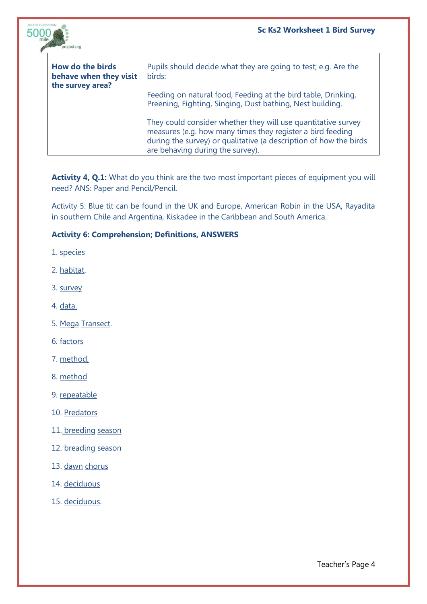

| <b>How do the birds</b><br>behave when they visit<br>the survey area? | Pupils should decide what they are going to test; e.g. Are the<br>birds:                                                                                                                                                             |
|-----------------------------------------------------------------------|--------------------------------------------------------------------------------------------------------------------------------------------------------------------------------------------------------------------------------------|
|                                                                       | Feeding on natural food, Feeding at the bird table, Drinking,<br>Preening, Fighting, Singing, Dust bathing, Nest building.                                                                                                           |
|                                                                       | They could consider whether they will use quantitative survey<br>measures (e.g. how many times they register a bird feeding<br>during the survey) or qualitative (a description of how the birds<br>are behaving during the survey). |

**Activity 4, Q.1:** What do you think are the two most important pieces of equipment you will need? ANS: Paper and Pencil/Pencil.

Activity 5: Blue tit can be found in the UK and Europe, American Robin in the USA, Rayadita in southern Chile and Argentina, Kiskadee in the Caribbean and South America.

#### **Activity 6: Comprehension; Definitions, ANSWERS**

- 1. species
- 2. habitat.
- 3. survey
- 4. data.
- 5. Mega Transect.
- 6. factors
- 7. method,
- 8. method
- 9. repeatable
- 10. Predators
- 11. breeding season
- 12. breading season
- 13. dawn chorus
- 14. deciduous
- 15. deciduous.

Teacher's Page 4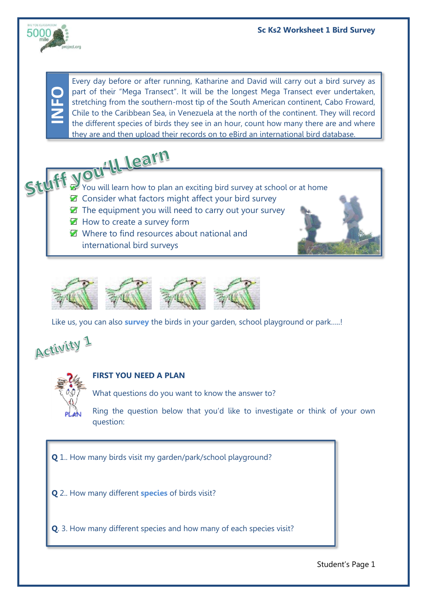

Every day before or after running, Katharine and David will carry out a bird survey as part of their "Mega Transect". It will be the longest Mega Transect ever undertaken, stretching from the southern-most tip of the South American continent, Cabo Froward, Chile to the Caribbean Sea, in Venezuela at the north of the continent. They will record the different species of birds they see in an hour, count how many there are and where they are and then upload their records on to eBird an international bird database. **Q**. 1. How many birds visit my garden/park/school playground?<br> **Q**. 2. How many different species of birds they see in an hour, count how man they are an independent species of birds they see in an hour, count how many th



- You will learn how to plan an exciting bird survey at school or at home
- **Z** Consider what factors might affect your bird survey
- The equipment you will need to carry out your survey
- How to create a survey form
- Where to find resources about national and international bird surveys



Like us, you can also **survey** the birds in your garden, school playground or park…..!





### **FIRST YOU NEED A PLAN**

What questions do you want to know the answer to?

Ring the question below that you'd like to investigate or think of your own question:

**Q** 1.. How many birds visit my garden/park/school playground?

**Q** 2.. How many different **species** of birds visit?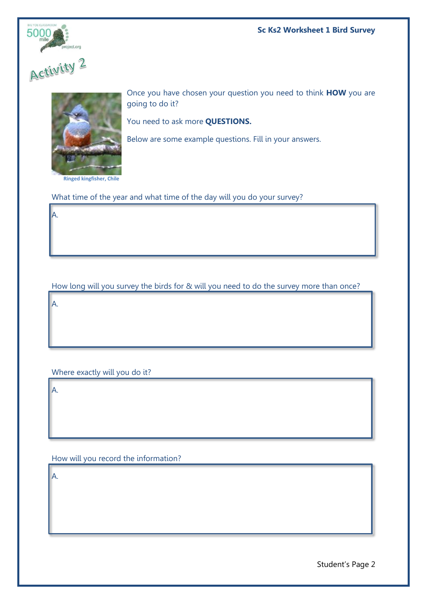





**Ringed kingfisher, Chile** 

Once you have chosen your question you need to think **HOW** you are going to do it?

You need to ask more **QUESTIONS.**

Below are some example questions. Fill in your answers.

What time of the year and what time of the day will you do your survey?

How long will you survey the birds for & will you need to do the survey more than once?

A.

A.

#### Where exactly will you do it?

A.

How will you record the information?

A.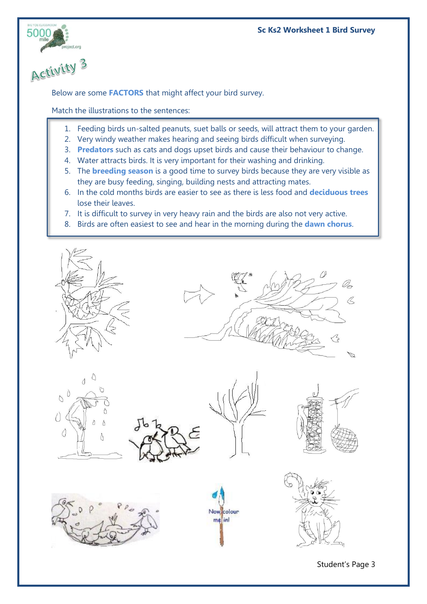

Below are some **FACTORS** that might affect your bird survey.

Match the illustrations to the sentences:

- 1. Feeding birds un-salted peanuts, suet balls or seeds, will attract them to your garden.
- 2. Very windy weather makes hearing and seeing birds difficult when surveying.
- 3. **Predators** such as cats and dogs upset birds and cause their behaviour to change.
- 4. Water attracts birds. It is very important for their washing and drinking.
- 5. The **breeding season** is a good time to survey birds because they are very visible as they are busy feeding, singing, building nests and attracting mates.
- 6. In the cold months birds are easier to see as there is less food and **deciduous trees** lose their leaves.
- 7. It is difficult to survey in very heavy rain and the birds are also not very active.
- 8. Birds are often easiest to see and hear in the morning during the **dawn chorus**.













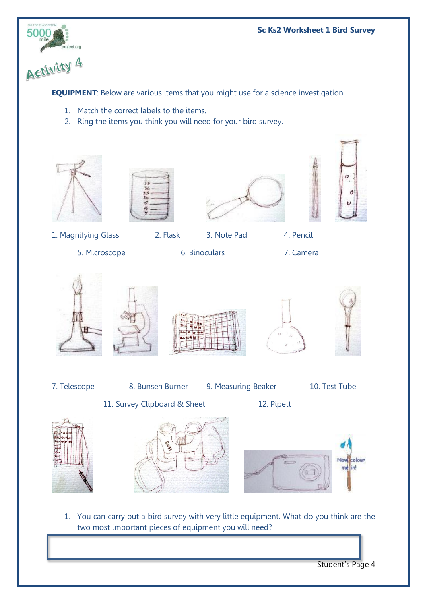#### **Sc Ks2 Worksheet 1 Bird Survey**

5000 Activity 4

**EQUIPMENT**: Below are various items that you might use for a science investigation.

- 1. Match the correct labels to the items.
- 2. Ring the items you think you will need for your bird survey.





1. Magnifying Glass 2. Flask 3. Note Pad 4. Pencil

5. Microscope 6. Binoculars 7. Camera











11. Survey Clipboard & Sheet 12. Pipett









7. Telescope 8. Bunsen Burner 9. Measuring Beaker 10. Test Tube









1. You can carry out a bird survey with very little equipment. What do you think are the two most important pieces of equipment you will need?



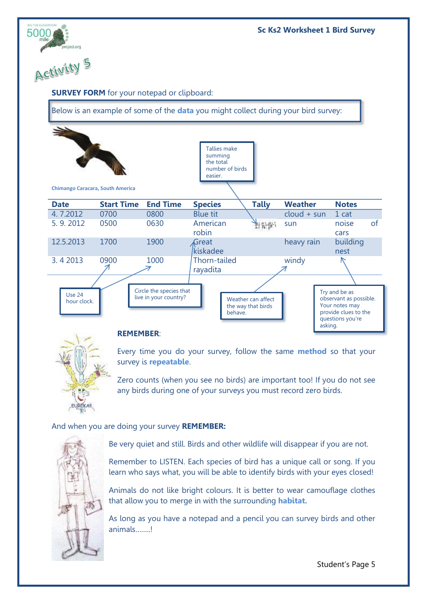#### **Sc Ks2 Worksheet 1 Bird Survey**



# **Activity 5**

## **SURVEY FORM** for your notepad or clipboard:

Below is an example of some of the **data** you might collect during your bird survey:



observant as possible. Your notes may provide clues to the questions you're asking.



hour clock.

### **REMEMBER**:

Every time you do your survey, follow the same **method** so that your survey is **repeatable**.

the way that birds

behave.

Zero counts (when you see no birds) are important too! If you do not see any birds during one of your surveys you must record zero birds.

### And when you are doing your survey **REMEMBER:**

Be very quiet and still. Birds and other wildlife will disappear if you are not.

Remember to LISTEN. Each species of bird has a unique call or song. If you learn who says what, you will be able to identify birds with your eyes closed!

Animals do not like bright colours. It is better to wear camouflage clothes that allow you to merge in with the surrounding **habitat.**

As long as you have a notepad and a pencil you can survey birds and other animals……..!

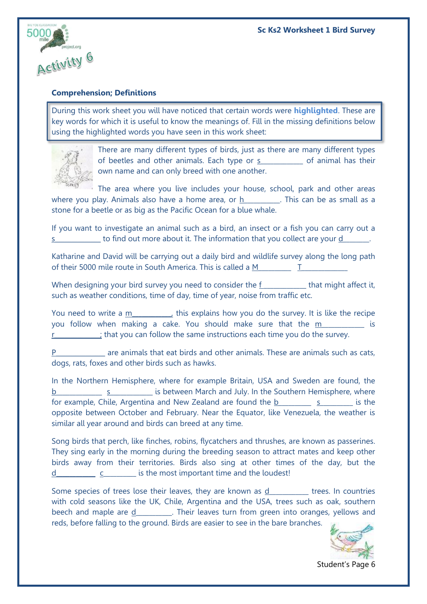

#### **Comprehension; Definitions**

During this work sheet you will have noticed that certain words were **highlighted**. These are key words for which it is useful to know the meanings of. Fill in the missing definitions below using the highlighted words you have seen in this work sheet:



There are many different types of birds, just as there are many different types of beetles and other animals. Each type or s\_\_\_\_\_\_\_\_\_\_\_\_\_ of animal has their own name and can only breed with one another.

The area where you live includes your house, school, park and other areas where you play. Animals also have a home area, or h\_\_\_\_\_\_\_\_\_\_. This can be as small as a stone for a beetle or as big as the Pacific Ocean for a blue whale.

If you want to investigate an animal such as a bird, an insect or a fish you can carry out a  $s_1$  to find out more about it. The information that you collect are your d

Katharine and David will be carrying out a daily bird and wildlife survey along the long path of their 5000 mile route in South America. This is called a M\_\_\_\_\_\_\_\_\_\_ T\_\_\_\_\_\_\_\_\_\_\_\_\_\_

When designing your bird survey you need to consider the  $f$  and that might affect it, such as weather conditions, time of day, time of year, noise from traffic etc.

You need to write a  $m_{\text{max}}$  this explains how you do the survey. It is like the recipe you follow when making a cake. You should make sure that the  $m$   $\qquad \qquad$  is r\_\_\_\_\_\_\_\_\_\_\_\_\_\_; that you can follow the same instructions each time you do the survey.

P<sub>2</sub> P<sub>2</sub> are animals that eat birds and other animals. These are animals such as cats, dogs, rats, foxes and other birds such as hawks.

In the Northern Hemisphere, where for example Britain, USA and Sweden are found, the b<sup>2</sup> b<sup>2</sup> s<sup>2</sup> s<sup>2</sup> s<sup>2</sup> s<sup>2</sup> s<sup>2</sup> is between March and July. In the Southern Hemisphere, where for example, Chile, Argentina and New Zealand are found the  $b_1, b_2, \ldots, b_k$  is the opposite between October and February. Near the Equator, like Venezuela, the weather is similar all year around and birds can breed at any time.

Song birds that perch, like finches, robins, flycatchers and thrushes, are known as passerines. They sing early in the morning during the breeding season to attract mates and keep other birds away from their territories. Birds also sing at other times of the day, but the  $\overline{c}$  c  $\overline{c}$  is the most important time and the loudest!

Some species of trees lose their leaves, they are known as d trees. In countries with cold seasons like the UK, Chile, Argentina and the USA, trees such as oak, southern beech and maple are d\_\_\_\_\_\_\_\_\_\_\_. Their leaves turn from green into oranges, yellows and reds, before falling to the ground. Birds are easier to see in the bare branches.